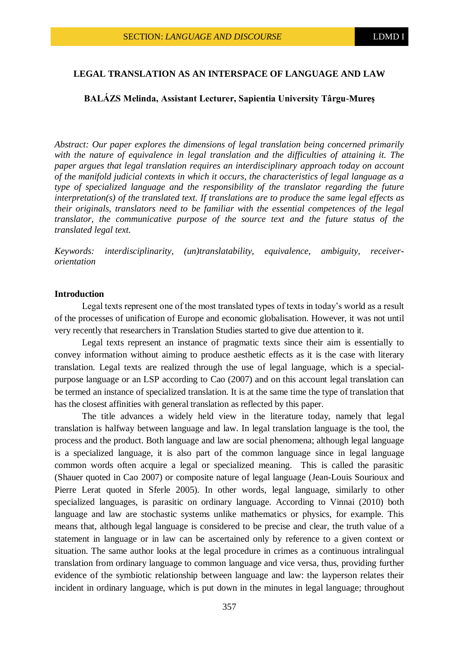# **LEGAL TRANSLATION AS AN INTERSPACE OF LANGUAGE AND LAW**

### **BALÁZS Melinda, Assistant Lecturer, Sapientia University Târgu-Mureş**

*Abstract: Our paper explores the dimensions of legal translation being concerned primarily with the nature of equivalence in legal translation and the difficulties of attaining it. The paper argues that legal translation requires an interdisciplinary approach today on account of the manifold judicial contexts in which it occurs, the characteristics of legal language as a type of specialized language and the responsibility of the translator regarding the future interpretation(s) of the translated text. If translations are to produce the same legal effects as their originals, translators need to be familiar with the essential competences of the legal translator, the communicative purpose of the source text and the future status of the translated legal text.*

*Keywords: interdisciplinarity, (un)translatability, equivalence, ambiguity, receiverorientation*

#### **Introduction**

Legal texts represent one of the most translated types of texts in today's world as a result of the processes of unification of Europe and economic globalisation. However, it was not until very recently that researchers in Translation Studies started to give due attention to it.

Legal texts represent an instance of pragmatic texts since their aim is essentially to convey information without aiming to produce aesthetic effects as it is the case with literary translation. Legal texts are realized through the use of legal language, which is a specialpurpose language or an LSP according to Cao (2007) and on this account legal translation can be termed an instance of specialized translation. It is at the same time the type of translation that has the closest affinities with general translation as reflected by this paper.

The title advances a widely held view in the literature today, namely that legal translation is halfway between language and law. In legal translation language is the tool, the process and the product. Both language and law are social phenomena; although legal language is a specialized language, it is also part of the common language since in legal language common words often acquire a legal or specialized meaning. This is called the parasitic (Shauer quoted in Cao 2007) or composite nature of legal language (Jean-Louis Sourioux and Pierre Lerat quoted in Sferle 2005). In other words, legal language, similarly to other specialized languages, is parasitic on ordinary language. According to Vinnai (2010) both language and law are stochastic systems unlike mathematics or physics, for example. This means that, although legal language is considered to be precise and clear, the truth value of a statement in language or in law can be ascertained only by reference to a given context or situation. The same author looks at the legal procedure in crimes as a continuous intralingual translation from ordinary language to common language and vice versa, thus, providing further evidence of the symbiotic relationship between language and law: the layperson relates their incident in ordinary language, which is put down in the minutes in legal language; throughout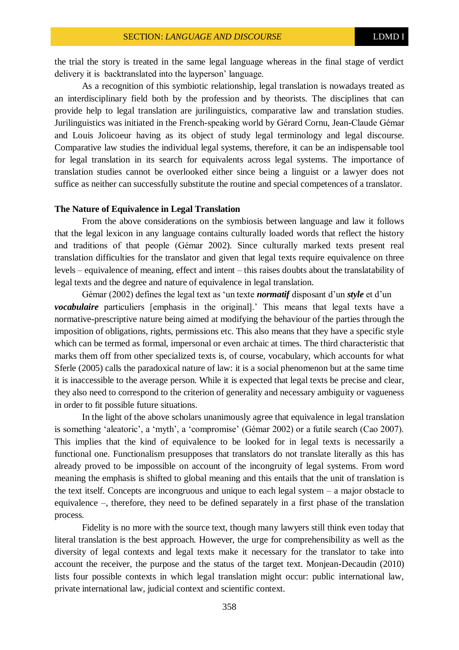the trial the story is treated in the same legal language whereas in the final stage of verdict delivery it is backtranslated into the layperson' language.

As a recognition of this symbiotic relationship, legal translation is nowadays treated as an interdisciplinary field both by the profession and by theorists. The disciplines that can provide help to legal translation are jurilinguistics, comparative law and translation studies. Jurilinguistics was initiated in the French-speaking world by Gérard Cornu, Jean-Claude Gémar and Louis Jolicoeur having as its object of study legal terminology and legal discourse. Comparative law studies the individual legal systems, therefore, it can be an indispensable tool for legal translation in its search for equivalents across legal systems. The importance of translation studies cannot be overlooked either since being a linguist or a lawyer does not suffice as neither can successfully substitute the routine and special competences of a translator.

### **The Nature of Equivalence in Legal Translation**

From the above considerations on the symbiosis between language and law it follows that the legal lexicon in any language contains culturally loaded words that reflect the history and traditions of that people (Gémar 2002). Since culturally marked texts present real translation difficulties for the translator and given that legal texts require equivalence on three levels – equivalence of meaning, effect and intent – this raises doubts about the translatability of legal texts and the degree and nature of equivalence in legal translation.

Gémar (2002) defines the legal text as 'un texte *normatif* disposant d'un *style* et d'un *vocabulaire* particuliers [emphasis in the original].' This means that legal texts have a normative-prescriptive nature being aimed at modifying the behaviour of the parties through the imposition of obligations, rights, permissions etc. This also means that they have a specific style which can be termed as formal, impersonal or even archaic at times. The third characteristic that marks them off from other specialized texts is, of course, vocabulary, which accounts for what Sferle (2005) calls the paradoxical nature of law: it is a social phenomenon but at the same time it is inaccessible to the average person. While it is expected that legal texts be precise and clear, they also need to correspond to the criterion of generality and necessary ambiguity or vagueness in order to fit possible future situations.

In the light of the above scholars unanimously agree that equivalence in legal translation is something 'aleatoric', a 'myth', a 'compromise' (Gémar 2002) or a futile search (Cao 2007). This implies that the kind of equivalence to be looked for in legal texts is necessarily a functional one. Functionalism presupposes that translators do not translate literally as this has already proved to be impossible on account of the incongruity of legal systems. From word meaning the emphasis is shifted to global meaning and this entails that the unit of translation is the text itself. Concepts are incongruous and unique to each legal system – a major obstacle to equivalence –, therefore, they need to be defined separately in a first phase of the translation process.

Fidelity is no more with the source text, though many lawyers still think even today that literal translation is the best approach. However, the urge for comprehensibility as well as the diversity of legal contexts and legal texts make it necessary for the translator to take into account the receiver, the purpose and the status of the target text. Monjean-Decaudin (2010) lists four possible contexts in which legal translation might occur: public international law, private international law, judicial context and scientific context.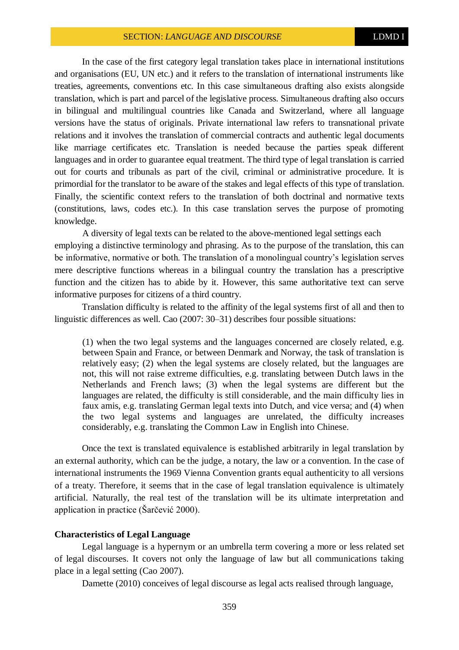In the case of the first category legal translation takes place in international institutions and organisations (EU, UN etc.) and it refers to the translation of international instruments like treaties, agreements, conventions etc. In this case simultaneous drafting also exists alongside translation, which is part and parcel of the legislative process. Simultaneous drafting also occurs in bilingual and multilingual countries like Canada and Switzerland, where all language versions have the status of originals. Private international law refers to transnational private relations and it involves the translation of commercial contracts and authentic legal documents like marriage certificates etc. Translation is needed because the parties speak different languages and in order to guarantee equal treatment. The third type of legal translation is carried out for courts and tribunals as part of the civil, criminal or administrative procedure. It is primordial for the translator to be aware of the stakes and legal effects of this type of translation. Finally, the scientific context refers to the translation of both doctrinal and normative texts (constitutions, laws, codes etc.). In this case translation serves the purpose of promoting knowledge.

A diversity of legal texts can be related to the above-mentioned legal settings each employing a distinctive terminology and phrasing. As to the purpose of the translation, this can be informative, normative or both. The translation of a monolingual country's legislation serves mere descriptive functions whereas in a bilingual country the translation has a prescriptive function and the citizen has to abide by it. However, this same authoritative text can serve informative purposes for citizens of a third country.

Translation difficulty is related to the affinity of the legal systems first of all and then to linguistic differences as well. Cao (2007: 30–31) describes four possible situations:

(1) when the two legal systems and the languages concerned are closely related, e.g. between Spain and France, or between Denmark and Norway, the task of translation is relatively easy; (2) when the legal systems are closely related, but the languages are not, this will not raise extreme difficulties, e.g. translating between Dutch laws in the Netherlands and French laws; (3) when the legal systems are different but the languages are related, the difficulty is still considerable, and the main difficulty lies in faux amis, e.g. translating German legal texts into Dutch, and vice versa; and (4) when the two legal systems and languages are unrelated, the difficulty increases considerably, e.g. translating the Common Law in English into Chinese.

Once the text is translated equivalence is established arbitrarily in legal translation by an external authority, which can be the judge, a notary, the law or a convention. In the case of international instruments the 1969 Vienna Convention grants equal authenticity to all versions of a treaty. Therefore, it seems that in the case of legal translation equivalence is ultimately artificial. Naturally, the real test of the translation will be its ultimate interpretation and application in practice (Šarčević 2000).

### **Characteristics of Legal Language**

Legal language is a hypernym or an umbrella term covering a more or less related set of legal discourses. It covers not only the language of law but all communications taking place in a legal setting (Cao 2007).

Damette (2010) conceives of legal discourse as legal acts realised through language,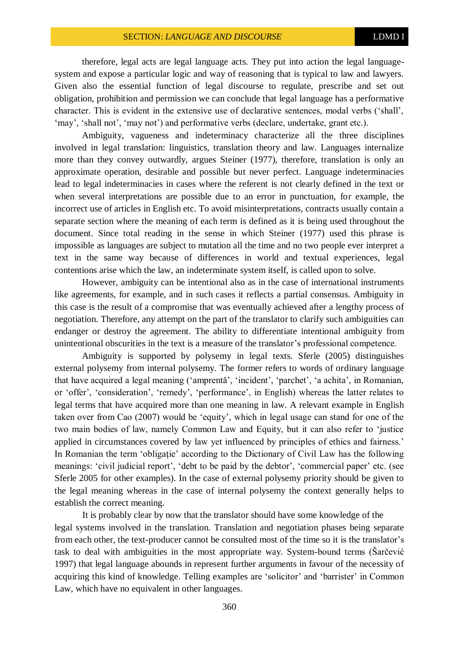therefore, legal acts are legal language acts. They put into action the legal languagesystem and expose a particular logic and way of reasoning that is typical to law and lawyers. Given also the essential function of legal discourse to regulate, prescribe and set out obligation, prohibition and permission we can conclude that legal language has a performative character. This is evident in the extensive use of declarative sentences, modal verbs ('shall', 'may', 'shall not', 'may not') and performative verbs (declare, undertake, grant etc.).

Ambiguity, vagueness and indeterminacy characterize all the three disciplines involved in legal translation: linguistics, translation theory and law. Languages internalize more than they convey outwardly, argues Steiner (1977), therefore, translation is only an approximate operation, desirable and possible but never perfect. Language indeterminacies lead to legal indeterminacies in cases where the referent is not clearly defined in the text or when several interpretations are possible due to an error in punctuation, for example, the incorrect use of articles in English etc. To avoid misinterpretations, contracts usually contain a separate section where the meaning of each term is defined as it is being used throughout the document. Since total reading in the sense in which Steiner (1977) used this phrase is impossible as languages are subject to mutation all the time and no two people ever interpret a text in the same way because of differences in world and textual experiences, legal contentions arise which the law, an indeterminate system itself, is called upon to solve.

However, ambiguity can be intentional also as in the case of international instruments like agreements, for example, and in such cases it reflects a partial consensus. Ambiguity in this case is the result of a compromise that was eventually achieved after a lengthy process of negotiation. Therefore, any attempt on the part of the translator to clarify such ambiguities can endanger or destroy the agreement. The ability to differentiate intentional ambiguity from unintentional obscurities in the text is a measure of the translator's professional competence.

Ambiguity is supported by polysemy in legal texts. Sferle (2005) distinguishes external polysemy from internal polysemy. The former refers to words of ordinary language that have acquired a legal meaning ('amprentă', 'incident', 'parchet', 'a achita', in Romanian, or 'offer', 'consideration', 'remedy', 'performance', in English) whereas the latter relates to legal terms that have acquired more than one meaning in law. A relevant example in English taken over from Cao (2007) would be 'equity', which in legal usage can stand for one of the two main bodies of law, namely Common Law and Equity, but it can also refer to 'justice applied in circumstances covered by law yet influenced by principles of ethics and fairness.' In Romanian the term 'obligatie' according to the Dictionary of Civil Law has the following meanings: 'civil judicial report', 'debt to be paid by the debtor', 'commercial paper' etc. (see Sferle 2005 for other examples). In the case of external polysemy priority should be given to the legal meaning whereas in the case of internal polysemy the context generally helps to establish the correct meaning.

It is probably clear by now that the translator should have some knowledge of the legal systems involved in the translation. Translation and negotiation phases being separate from each other, the text-producer cannot be consulted most of the time so it is the translator's task to deal with ambiguities in the most appropriate way. System-bound terms (Šarčević 1997) that legal language abounds in represent further arguments in favour of the necessity of acquiring this kind of knowledge. Telling examples are 'solicitor' and 'barrister' in Common Law, which have no equivalent in other languages.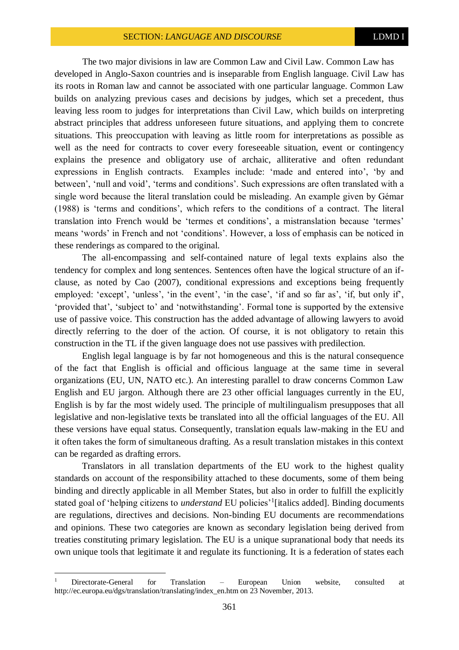The two major divisions in law are Common Law and Civil Law. Common Law has developed in Anglo-Saxon countries and is inseparable from English language. Civil Law has its roots in Roman law and cannot be associated with one particular language. Common Law builds on analyzing previous cases and decisions by judges, which set a precedent, thus leaving less room to judges for interpretations than Civil Law, which builds on interpreting abstract principles that address unforeseen future situations, and applying them to concrete situations. This preoccupation with leaving as little room for interpretations as possible as well as the need for contracts to cover every foreseeable situation, event or contingency explains the presence and obligatory use of archaic, alliterative and often redundant expressions in English contracts. Examples include: 'made and entered into', 'by and between', 'null and void', 'terms and conditions'. Such expressions are often translated with a single word because the literal translation could be misleading. An example given by Gémar (1988) is 'terms and conditions', which refers to the conditions of a contract. The literal translation into French would be 'termes et conditions', a mistranslation because 'termes' means 'words' in French and not 'conditions'. However, a loss of emphasis can be noticed in these renderings as compared to the original.

The all-encompassing and self-contained nature of legal texts explains also the tendency for complex and long sentences. Sentences often have the logical structure of an ifclause, as noted by Cao (2007), conditional expressions and exceptions being frequently employed: 'except', 'unless', 'in the event', 'in the case', 'if and so far as', 'if, but only if', 'provided that', 'subject to' and 'notwithstanding'. Formal tone is supported by the extensive use of passive voice. This construction has the added advantage of allowing lawyers to avoid directly referring to the doer of the action. Of course, it is not obligatory to retain this construction in the TL if the given language does not use passives with predilection.

English legal language is by far not homogeneous and this is the natural consequence of the fact that English is official and officious language at the same time in several organizations (EU, UN, NATO etc.). An interesting parallel to draw concerns Common Law English and EU jargon. Although there are 23 other official languages currently in the EU, English is by far the most widely used. The principle of multilingualism presupposes that all legislative and non-legislative texts be translated into all the official languages of the EU. All these versions have equal status. Consequently, translation equals law-making in the EU and it often takes the form of simultaneous drafting. As a result translation mistakes in this context can be regarded as drafting errors.

Translators in all translation departments of the EU work to the highest quality standards on account of the responsibility attached to these documents, some of them being binding and directly applicable in all Member States, but also in order to fulfill the explicitly stated goal of 'helping citizens to *understand* EU policies'<sup>1</sup>[italics added]. Binding documents are regulations, directives and decisions. Non-binding EU documents are recommendations and opinions. These two categories are known as secondary legislation being derived from treaties constituting primary legislation. The EU is a unique supranational body that needs its own unique tools that legitimate it and regulate its functioning. It is a federation of states each

 $\overline{a}$ 

<sup>1</sup> Directorate-General for Translation – European Union website, consulted at http://ec.europa.eu/dgs/translation/translating/index\_en.htm on 23 November, 2013.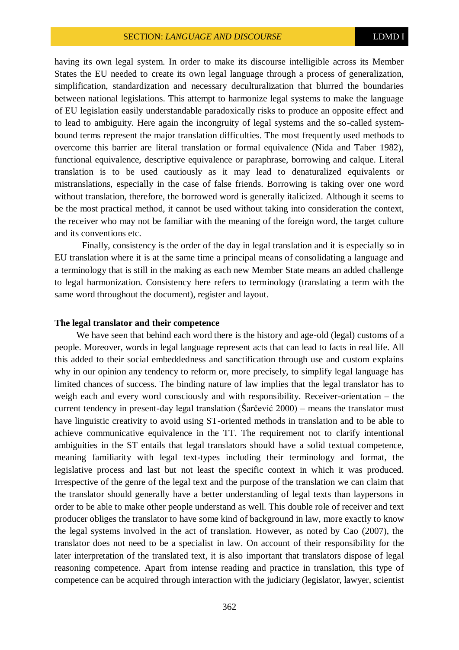having its own legal system. In order to make its discourse intelligible across its Member States the EU needed to create its own legal language through a process of generalization, simplification, standardization and necessary deculturalization that blurred the boundaries between national legislations. This attempt to harmonize legal systems to make the language of EU legislation easily understandable paradoxically risks to produce an opposite effect and to lead to ambiguity. Here again the incongruity of legal systems and the so-called systembound terms represent the major translation difficulties. The most frequently used methods to overcome this barrier are literal translation or formal equivalence (Nida and Taber 1982), functional equivalence, descriptive equivalence or paraphrase, borrowing and calque. Literal translation is to be used cautiously as it may lead to denaturalized equivalents or mistranslations, especially in the case of false friends. Borrowing is taking over one word without translation, therefore, the borrowed word is generally italicized. Although it seems to be the most practical method, it cannot be used without taking into consideration the context, the receiver who may not be familiar with the meaning of the foreign word, the target culture and its conventions etc.

Finally, consistency is the order of the day in legal translation and it is especially so in EU translation where it is at the same time a principal means of consolidating a language and a terminology that is still in the making as each new Member State means an added challenge to legal harmonization. Consistency here refers to terminology (translating a term with the same word throughout the document), register and layout.

### **The legal translator and their competence**

We have seen that behind each word there is the history and age-old (legal) customs of a people. Moreover, words in legal language represent acts that can lead to facts in real life. All this added to their social embeddedness and sanctification through use and custom explains why in our opinion any tendency to reform or, more precisely, to simplify legal language has limited chances of success. The binding nature of law implies that the legal translator has to weigh each and every word consciously and with responsibility. Receiver-orientation – the current tendency in present-day legal translation (Šarčević 2000) – means the translator must have linguistic creativity to avoid using ST-oriented methods in translation and to be able to achieve communicative equivalence in the TT. The requirement not to clarify intentional ambiguities in the ST entails that legal translators should have a solid textual competence, meaning familiarity with legal text-types including their terminology and format, the legislative process and last but not least the specific context in which it was produced. Irrespective of the genre of the legal text and the purpose of the translation we can claim that the translator should generally have a better understanding of legal texts than laypersons in order to be able to make other people understand as well. This double role of receiver and text producer obliges the translator to have some kind of background in law, more exactly to know the legal systems involved in the act of translation. However, as noted by Cao (2007), the translator does not need to be a specialist in law. On account of their responsibility for the later interpretation of the translated text, it is also important that translators dispose of legal reasoning competence. Apart from intense reading and practice in translation, this type of competence can be acquired through interaction with the judiciary (legislator, lawyer, scientist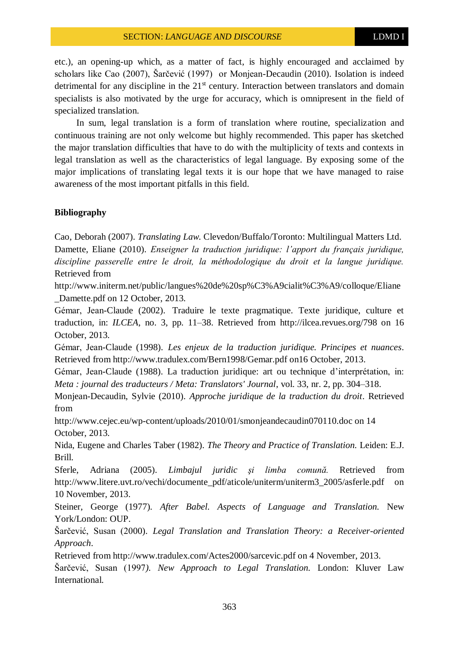etc.), an opening-up which, as a matter of fact, is highly encouraged and acclaimed by scholars like Cao (2007), Šarčević (1997) or Monjean-Decaudin (2010). Isolation is indeed detrimental for any discipline in the  $21<sup>st</sup>$  century. Interaction between translators and domain specialists is also motivated by the urge for accuracy, which is omnipresent in the field of specialized translation.

In sum, legal translation is a form of translation where routine, specialization and continuous training are not only welcome but highly recommended. This paper has sketched the major translation difficulties that have to do with the multiplicity of texts and contexts in legal translation as well as the characteristics of legal language. By exposing some of the major implications of translating legal texts it is our hope that we have managed to raise awareness of the most important pitfalls in this field.

# **Bibliography**

Cao, Deborah (2007). *Translating Law*. Clevedon/Buffalo/Toronto: Multilingual Matters Ltd. Damette, Eliane (2010). *Enseigner la traduction juridique: l'apport du français juridique, discipline passerelle entre le droit, la méthodologique du droit et la langue juridique.*  Retrieved from

http://www.initerm.net/public/langues%20de%20sp%C3%A9cialit%C3%A9/colloque/Eliane \_Damette.pdf on 12 October, 2013.

Gémar, Jean-Claude (2002). Traduire le texte pragmatique. Texte juridique, culture et traduction*,* in: *ILCEA*, no. 3, pp. 11–38. Retrieved from http://ilcea.revues.org/798 on 16 October, 2013.

Gémar, Jean-Claude (1998). *Les enjeux de la traduction juridique. Principes et nuances*. Retrieved from http://www.tradulex.com/Bern1998/Gemar.pdf on16 October, 2013.

Gémar, Jean-Claude (1988). La traduction juridique: art ou technique d'interprétation, in: *Meta : journal des traducteurs / Meta: Translators' Journal*, vol. 33, nr. 2, pp. 304–318.

Monjean-Decaudin, Sylvie (2010). *Approche juridique de la traduction du droit*. Retrieved from

http://www.cejec.eu/wp-content/uploads/2010/01/smonjeandecaudin070110.doc on 14 October, 2013.

Nida, Eugene and Charles Taber (1982). *The Theory and Practice of Translation.* Leiden: E.J. Brill.

Sferle, Adriana (2005). *Limbajul juridic şi limba comună.* Retrieved from http://www.litere.uvt.ro/vechi/documente\_pdf/aticole/uniterm/uniterm3\_2005/asferle.pdf on 10 November, 2013.

Steiner, George (1977). *After Babel. Aspects of Language and Translation.* New York/London: OUP.

Šarčević, Susan (2000). *Legal Translation and Translation Theory: a Receiver-oriented Approach*.

Retrieved from http://www.tradulex.com/Actes2000/sarcevic.pdf on 4 November, 2013.

Šarčević, Susan (1997*). New Approach to Legal Translation.* London: Kluver Law International.